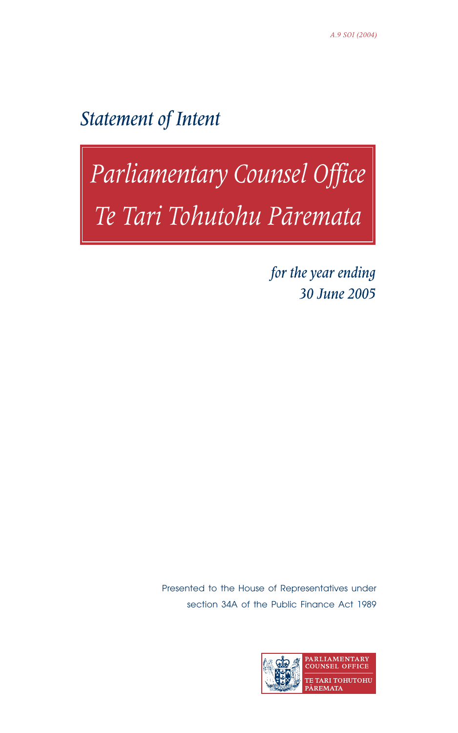Statement of Intent

# Parliamentary Counsel Office<br>Te Tari Tohutohu Pāremata

for the year ending 30 June 2005

Presented to the House of Representatives under section 34A of the Public Finance Act 1989

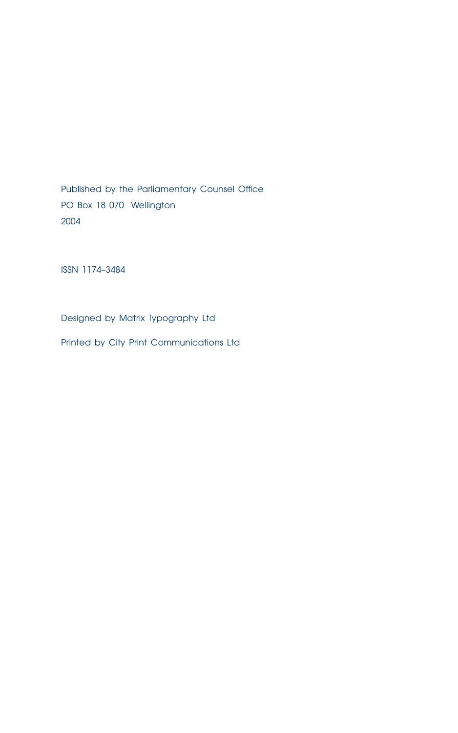Published by the Parliamentary Counsel Office PO Box 18 070 Wellington 2004

ISSN 1174–3484

Designed by Matrix Typography Ltd

Printed by City Print Communications Ltd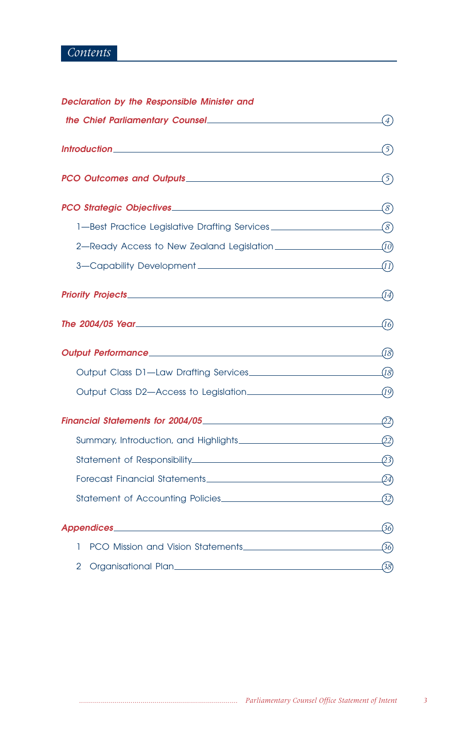# *Contents*

| Declaration by the Responsible Minister and |
|---------------------------------------------|
|---------------------------------------------|

|                                                                                  | (4)         |
|----------------------------------------------------------------------------------|-------------|
|                                                                                  | (5)         |
|                                                                                  | (5)         |
|                                                                                  | $\Omega(s)$ |
| 1-Best Practice Legislative Drafting Services __________________________________ |             |
| 2—Ready Access to New Zealand Legislation $\sqrt{10}$                            |             |
|                                                                                  |             |
|                                                                                  | (14)        |
|                                                                                  | (16)        |
| Output Performance (8)                                                           |             |
|                                                                                  |             |
|                                                                                  |             |
|                                                                                  |             |
|                                                                                  |             |
|                                                                                  |             |
|                                                                                  |             |
|                                                                                  |             |
| <b>Appendices</b> 36                                                             |             |
| 1                                                                                |             |
| 2                                                                                | -38)        |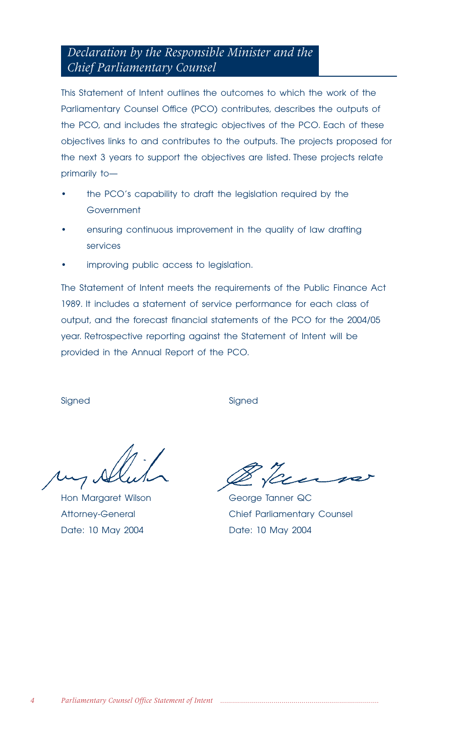# *Declaration by the Responsible Minister and the Chief Parliamentary Counsel*

This Statement of Intent outlines the outcomes to which the work of the Parliamentary Counsel Office (PCO) contributes, describes the outputs of the PCO, and includes the strategic objectives of the PCO. Each of these objectives links to and contributes to the outputs. The projects proposed for the next 3 years to support the objectives are listed. These projects relate primarily to—

- the PCO's capability to draft the legislation required by the **Government**
- ensuring continuous improvement in the quality of law drafting services
- improving public access to legislation.

The Statement of Intent meets the requirements of the Public Finance Act 1989. It includes a statement of service performance for each class of output, and the forecast financial statements of the PCO for the 2004/05 year. Retrospective reporting against the Statement of Intent will be provided in the Annual Report of the PCO.

Signed Signed Signed Signed Signed Signed Signed Signed Signed Signed Signed Signed Signed Signed Signed Signed Signed Signed Signed Signed Signed Signed Signed Signed Signed Signed Signed Signed Signed Signed Signed Signe

Hon Margaret Wilson George Tanner QC Date: 10 May 2004 Date: 10 May 2004

Attorney-General Chief Parliamentary Counsel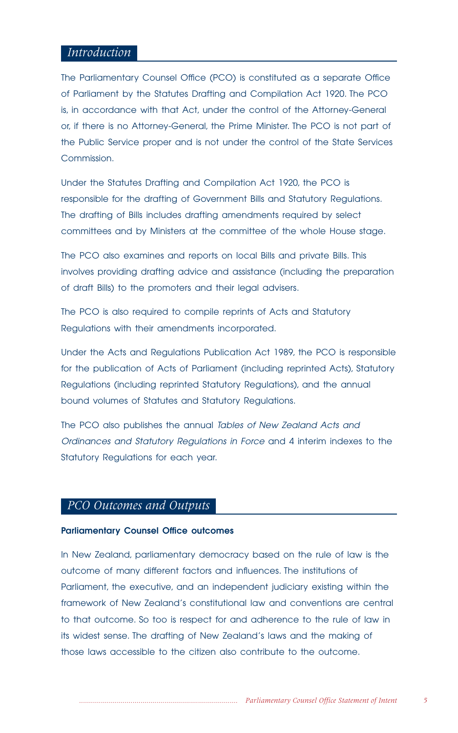## *Introduction*

The Parliamentary Counsel Office (PCO) is constituted as a separate Office of Parliament by the Statutes Drafting and Compilation Act 1920. The PCO is, in accordance with that Act, under the control of the Attorney-General or, if there is no Attorney-General, the Prime Minister. The PCO is not part of the Public Service proper and is not under the control of the State Services Commission.

Under the Statutes Drafting and Compilation Act 1920, the PCO is responsible for the drafting of Government Bills and Statutory Regulations. The drafting of Bills includes drafting amendments required by select committees and by Ministers at the committee of the whole House stage.

The PCO also examines and reports on local Bills and private Bills. This involves providing drafting advice and assistance (including the preparation of draft Bills) to the promoters and their legal advisers.

The PCO is also required to compile reprints of Acts and Statutory Regulations with their amendments incorporated.

Under the Acts and Regulations Publication Act 1989, the PCO is responsible for the publication of Acts of Parliament (including reprinted Acts), Statutory Regulations (including reprinted Statutory Regulations), and the annual bound volumes of Statutes and Statutory Regulations.

The PCO also publishes the annual Tables of New Zealand Acts and Ordinances and Statutory Regulations in Force and 4 interim indexes to the Statutory Regulations for each year.

## *PCO Outcomes and Outputs*

#### **Parliamentary Counsel Office outcomes**

In New Zealand, parliamentary democracy based on the rule of law is the outcome of many different factors and influences. The institutions of Parliament, the executive, and an independent judiciary existing within the framework of New Zealand's constitutional law and conventions are central to that outcome. So too is respect for and adherence to the rule of law in its widest sense. The drafting of New Zealand's laws and the making of those laws accessible to the citizen also contribute to the outcome.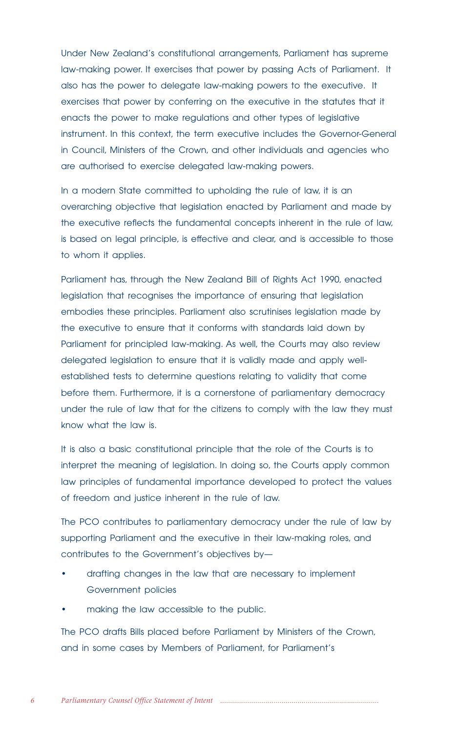Under New Zealand's constitutional arrangements, Parliament has supreme law-making power. It exercises that power by passing Acts of Parliament. It also has the power to delegate law-making powers to the executive. It exercises that power by conferring on the executive in the statutes that it enacts the power to make regulations and other types of legislative instrument. In this context, the term executive includes the Governor-General in Council, Ministers of the Crown, and other individuals and agencies who are authorised to exercise delegated law-making powers.

In a modern State committed to upholding the rule of law, it is an overarching objective that legislation enacted by Parliament and made by the executive reflects the fundamental concepts inherent in the rule of law, is based on legal principle, is effective and clear, and is accessible to those to whom it applies.

Parliament has, through the New Zealand Bill of Rights Act 1990, enacted legislation that recognises the importance of ensuring that legislation embodies these principles. Parliament also scrutinises legislation made by the executive to ensure that it conforms with standards laid down by Parliament for principled law-making. As well, the Courts may also review delegated legislation to ensure that it is validly made and apply wellestablished tests to determine questions relating to validity that come before them. Furthermore, it is a cornerstone of parliamentary democracy under the rule of law that for the citizens to comply with the law they must know what the law is.

It is also a basic constitutional principle that the role of the Courts is to interpret the meaning of legislation. In doing so, the Courts apply common law principles of fundamental importance developed to protect the values of freedom and justice inherent in the rule of law.

The PCO contributes to parliamentary democracy under the rule of law by supporting Parliament and the executive in their law-making roles, and contributes to the Government's objectives by—

- drafting changes in the law that are necessary to implement Government policies
- making the law accessible to the public.

The PCO drafts Bills placed before Parliament by Ministers of the Crown, and in some cases by Members of Parliament, for Parliament's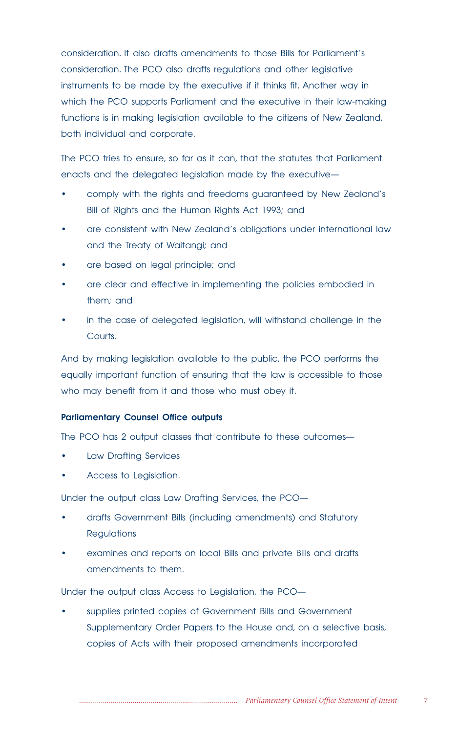consideration. It also drafts amendments to those Bills for Parliament's consideration. The PCO also drafts regulations and other legislative instruments to be made by the executive if it thinks fit. Another way in which the PCO supports Parliament and the executive in their law-making functions is in making legislation available to the citizens of New Zealand, both individual and corporate.

The PCO tries to ensure, so far as it can, that the statutes that Parliament enacts and the delegated legislation made by the executive—

- comply with the rights and freedoms guaranteed by New Zealand's Bill of Rights and the Human Rights Act 1993; and
- are consistent with New Zealand's obligations under international law and the Treaty of Waitangi; and
- are based on legal principle; and
- are clear and effective in implementing the policies embodied in them; and
- in the case of delegated legislation, will withstand challenge in the Courts.

And by making legislation available to the public, the PCO performs the equally important function of ensuring that the law is accessible to those who may benefit from it and those who must obey it.

## **Parliamentary Counsel Office outputs**

The PCO has 2 output classes that contribute to these outcomes—

- Law Drafting Services
- Access to Legislation.

Under the output class Law Drafting Services, the PCO—

- drafts Government Bills (including amendments) and Statutory **Regulations**
- examines and reports on local Bills and private Bills and drafts amendments to them.

Under the output class Access to Legislation, the PCO—

• supplies printed copies of Government Bills and Government Supplementary Order Papers to the House and, on a selective basis, copies of Acts with their proposed amendments incorporated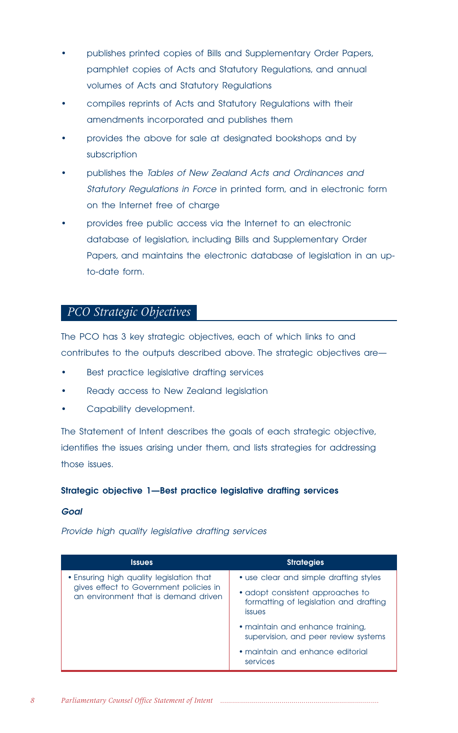- publishes printed copies of Bills and Supplementary Order Papers, pamphlet copies of Acts and Statutory Regulations, and annual volumes of Acts and Statutory Regulations
- compiles reprints of Acts and Statutory Regulations with their amendments incorporated and publishes them
- provides the above for sale at designated bookshops and by subscription
- publishes the Tables of New Zealand Acts and Ordinances and Statutory Regulations in Force in printed form, and in electronic form on the Internet free of charge
- provides free public access via the Internet to an electronic database of legislation, including Bills and Supplementary Order Papers, and maintains the electronic database of legislation in an upto-date form.

# *PCO Strategic Objectives*

The PCO has 3 key strategic objectives, each of which links to and contributes to the outputs described above. The strategic objectives are—

- Best practice legislative drafting services
- Ready access to New Zealand legislation
- Capability development.

The Statement of Intent describes the goals of each strategic objective, identifies the issues arising under them, and lists strategies for addressing those issues.

## **Strategic objective 1—Best practice legislative drafting services**

#### **Goal**

Provide high quality legislative drafting services

| <b>Issues</b>                                                                                                              | <b>Strategies</b>                                                                           |
|----------------------------------------------------------------------------------------------------------------------------|---------------------------------------------------------------------------------------------|
| • Ensuring high quality legislation that<br>gives effect to Government policies in<br>an environment that is demand driven | • use clear and simple drafting styles                                                      |
|                                                                                                                            | • adopt consistent approaches to<br>formatting of legislation and drafting<br><i>issues</i> |
|                                                                                                                            | • maintain and enhance training,<br>supervision, and peer review systems                    |
|                                                                                                                            | • maintain and enhance editorial<br>services                                                |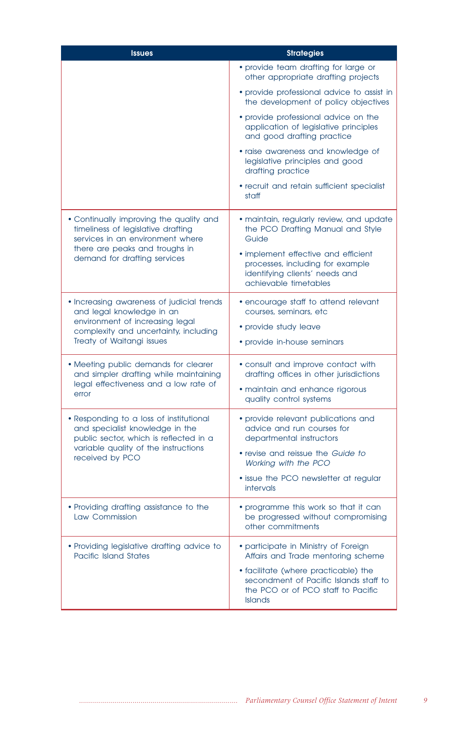| <b>Issues</b>                                                                                                        | <b>Strategies</b>                                                                                                                  |
|----------------------------------------------------------------------------------------------------------------------|------------------------------------------------------------------------------------------------------------------------------------|
|                                                                                                                      | • provide team drafting for large or<br>other appropriate drafting projects                                                        |
|                                                                                                                      | • provide professional advice to assist in<br>the development of policy objectives                                                 |
|                                                                                                                      | • provide professional advice on the<br>application of legislative principles<br>and good drafting practice                        |
|                                                                                                                      | • raise awareness and knowledge of<br>legislative principles and good<br>drafting practice                                         |
|                                                                                                                      | • recruit and retain sufficient specialist<br>staff                                                                                |
| • Continually improving the quality and<br>timeliness of legislative drafting<br>services in an environment where    | • maintain, regularly review, and update<br>the PCO Drafting Manual and Style<br>Guide                                             |
| there are peaks and troughs in<br>demand for drafting services                                                       | • implement effective and efficient<br>processes, including for example<br>identifying clients' needs and<br>achievable timetables |
| • Increasing awareness of judicial trends<br>and legal knowledge in an                                               | • encourage staff to attend relevant<br>courses, seminars, etc.                                                                    |
| environment of increasing legal<br>complexity and uncertainty, including                                             | • provide study leave                                                                                                              |
| Treaty of Waitangi issues                                                                                            | • provide in-house seminars                                                                                                        |
| • Meeting public demands for clearer<br>and simpler drafting while maintaining                                       | • consult and improve contact with<br>drafting offices in other jurisdictions                                                      |
| legal effectiveness and a low rate of<br>error                                                                       | • maintain and enhance rigorous<br>quality control systems                                                                         |
| . Responding to a loss of institutional<br>and specialist knowledge in the<br>public sector, which is reflected in a | • provide relevant publications and<br>advice and run courses for<br>departmental instructors                                      |
| variable quality of the instructions<br>received by PCO                                                              | • revise and reissue the Guide to<br>Working with the PCO                                                                          |
|                                                                                                                      | • issue the PCO newsletter at regular<br>intervals                                                                                 |
| • Providing drafting assistance to the<br>Law Commission                                                             | • programme this work so that it can<br>be progressed without compromising<br>other commitments                                    |
| • Providing legislative drafting advice to<br><b>Pacific Island States</b>                                           | • participate in Ministry of Foreign<br>Affairs and Trade mentoring scheme                                                         |
|                                                                                                                      | • facilitate (where practicable) the<br>secondment of Pacific Islands staff to<br>the PCO or of PCO staff to Pacific<br>Islands    |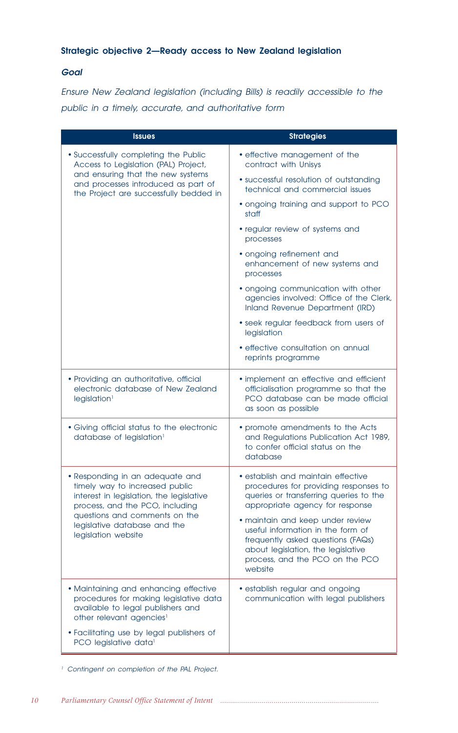## **Strategic objective 2—Ready access to New Zealand legislation**

## **Goal**

Ensure New Zealand legislation (including Bills) is readily accessible to the public in a timely, accurate, and authoritative form

| <b>Issues</b>                                                                                                                                                | <b>Strategies</b>                                                                                                                                                                              |  |  |
|--------------------------------------------------------------------------------------------------------------------------------------------------------------|------------------------------------------------------------------------------------------------------------------------------------------------------------------------------------------------|--|--|
| • Successfully completing the Public<br>Access to Legislation (PAL) Project,                                                                                 | • effective management of the<br>contract with Unisys                                                                                                                                          |  |  |
| and ensuring that the new systems<br>and processes introduced as part of<br>the Project are successfully bedded in                                           | • successful resolution of outstanding<br>technical and commercial issues                                                                                                                      |  |  |
|                                                                                                                                                              | • ongoing training and support to PCO<br>staff                                                                                                                                                 |  |  |
|                                                                                                                                                              | • regular review of systems and<br>processes                                                                                                                                                   |  |  |
|                                                                                                                                                              | • ongoing refinement and<br>enhancement of new systems and<br>processes                                                                                                                        |  |  |
|                                                                                                                                                              | · ongoing communication with other<br>agencies involved: Office of the Clerk,<br>Inland Revenue Department (IRD)                                                                               |  |  |
|                                                                                                                                                              | • seek regular feedback from users of<br>legislation                                                                                                                                           |  |  |
|                                                                                                                                                              | · effective consultation on annual<br>reprints programme                                                                                                                                       |  |  |
| · Providing an authoritative, official<br>electronic database of New Zealand<br>legislation <sup>1</sup>                                                     | . implement an effective and efficient<br>officialisation programme so that the<br>PCO database can be made official<br>as soon as possible                                                    |  |  |
| • Giving official status to the electronic<br>database of legislation <sup>1</sup>                                                                           | • promote amendments to the Acts<br>and Regulations Publication Act 1989,<br>to confer official status on the<br>database                                                                      |  |  |
| • Responding in an adequate and<br>timely way to increased public<br>interest in legislation, the legislative<br>process, and the PCO, including             | · establish and maintain effective<br>procedures for providing responses to<br>queries or transferring queries to the<br>appropriate agency for response                                       |  |  |
| questions and comments on the<br>legislative database and the<br>legislation website                                                                         | · maintain and keep under review<br>useful information in the form of<br>frequently asked questions (FAQs)<br>about legislation, the legislative<br>process, and the PCO on the PCO<br>website |  |  |
| · Maintaining and enhancing effective<br>procedures for making legislative data<br>available to legal publishers and<br>other relevant agencies <sup>1</sup> | · establish regular and ongoing<br>communication with legal publishers                                                                                                                         |  |  |
| • Facilitating use by legal publishers of<br>PCO legislative data <sup>1</sup>                                                                               |                                                                                                                                                                                                |  |  |

<sup>1</sup> Contingent on completion of the PAL Project.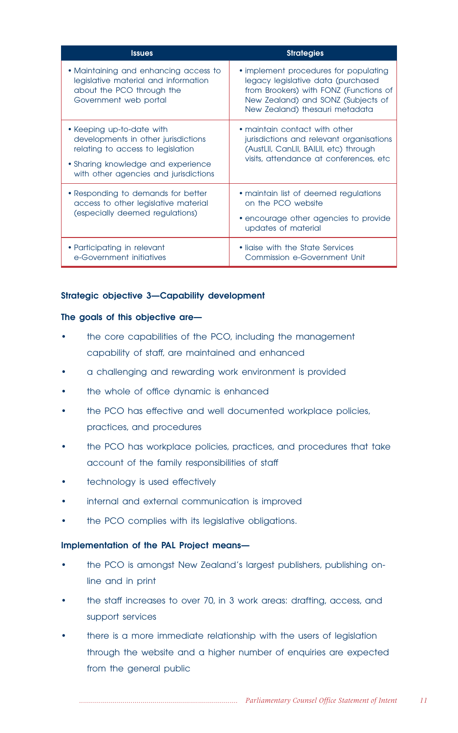| <b>Issues</b>                                                                                                                                                                        | <b>Strategies</b>                                                                                                                                                                             |
|--------------------------------------------------------------------------------------------------------------------------------------------------------------------------------------|-----------------------------------------------------------------------------------------------------------------------------------------------------------------------------------------------|
| • Maintaining and enhancing access to<br>legislative material and information<br>about the PCO through the<br>Government web portal                                                  | • implement procedures for populating<br>legacy legislative data (purchased<br>from Brookers) with FONZ (Functions of<br>New Zealand) and SONZ (Subjects of<br>New Zealand) thesauri metadata |
| • Keeping up-to-date with<br>developments in other jurisdictions<br>relating to access to legislation<br>• Sharing knowledge and experience<br>with other agencies and jurisdictions | • maintain contact with other<br>jurisdictions and relevant organisations<br>(AustLII, CanLII, BAILII, etc) through<br>visits, attendance at conferences, etc.                                |
| • Responding to demands for better<br>access to other legislative material<br>(especially deemed regulations)                                                                        | • maintain list of deemed regulations<br>on the PCO website<br>• encourage other agencies to provide<br>updates of material                                                                   |
| • Participating in relevant<br>e-Government initiatives                                                                                                                              | • liaise with the State Services<br>Commission e-Government Unit                                                                                                                              |

## **Strategic objective 3—Capability development**

## **The goals of this objective are—**

- the core capabilities of the PCO, including the management capability of staff, are maintained and enhanced
- a challenging and rewarding work environment is provided
- the whole of office dynamic is enhanced
- the PCO has effective and well documented workplace policies, practices, and procedures
- the PCO has workplace policies, practices, and procedures that take account of the family responsibilities of staff
- technology is used effectively
- internal and external communication is improved
- the PCO complies with its legislative obligations.

## **Implementation of the PAL Project means—**

- the PCO is amongst New Zealand's largest publishers, publishing online and in print
- the staff increases to over 70, in 3 work areas: drafting, access, and support services
- there is a more immediate relationship with the users of legislation through the website and a higher number of enquiries are expected from the general public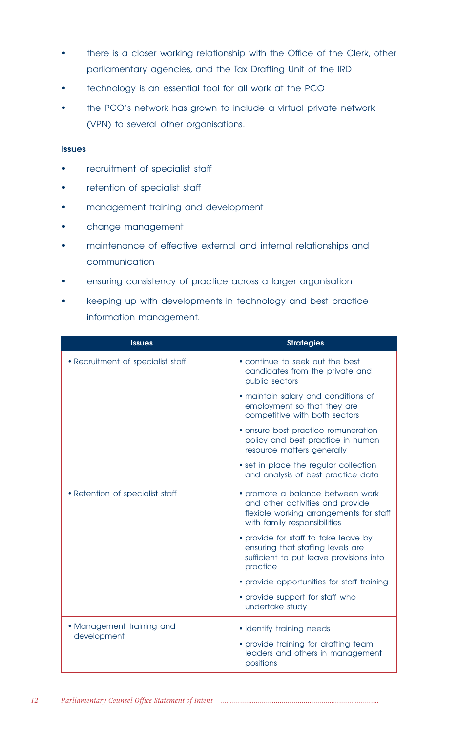- there is a closer working relationship with the Office of the Clerk, other parliamentary agencies, and the Tax Drafting Unit of the IRD
- technology is an essential tool for all work at the PCO
- the PCO's network has grown to include a virtual private network (VPN) to several other organisations.

## **Issues**

- recruitment of specialist staff
- retention of specialist staff
- management training and development
- change management
- maintenance of effective external and internal relationships and communication
- ensuring consistency of practice across a larger organisation
- keeping up with developments in technology and best practice information management.

| <b>Issues</b>                     | <b>Strategies</b>                                                                                                                               |  |
|-----------------------------------|-------------------------------------------------------------------------------------------------------------------------------------------------|--|
| • Recruitment of specialist staff | • continue to seek out the best<br>candidates from the private and<br>public sectors                                                            |  |
|                                   | • maintain salary and conditions of<br>employment so that they are<br>competitive with both sectors                                             |  |
|                                   | · ensure best practice remuneration<br>policy and best practice in human<br>resource matters generally                                          |  |
|                                   | • set in place the regular collection<br>and analysis of best practice data                                                                     |  |
| • Retention of specialist staff   | • promote a balance between work<br>and other activities and provide<br>flexible working arrangements for staff<br>with family responsibilities |  |
|                                   | • provide for staff to take leave by<br>ensuring that staffing levels are<br>sufficient to put leave provisions into<br>practice                |  |
|                                   | • provide opportunities for staff training                                                                                                      |  |
|                                   | • provide support for staff who<br>undertake study                                                                                              |  |
| • Management training and         | • identify training needs                                                                                                                       |  |
| development                       | • provide training for drafting team<br>leaders and others in management<br>positions                                                           |  |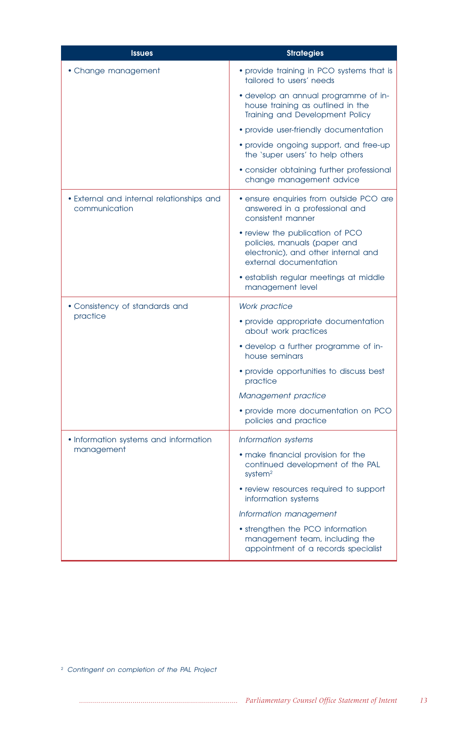| <b>Issues</b>                                              | <b>Strategies</b>                                                                                                                |  |  |
|------------------------------------------------------------|----------------------------------------------------------------------------------------------------------------------------------|--|--|
| • Change management                                        | • provide training in PCO systems that is<br>tailored to users' needs                                                            |  |  |
|                                                            | · develop an annual programme of in-<br>house training as outlined in the<br>Training and Development Policy                     |  |  |
|                                                            | • provide user-friendly documentation                                                                                            |  |  |
|                                                            | • provide ongoing support, and free-up<br>the 'super users' to help others                                                       |  |  |
|                                                            | • consider obtaining further professional<br>change management advice                                                            |  |  |
| • External and internal relationships and<br>communication | • ensure enquiries from outside PCO are<br>answered in a professional and<br>consistent manner                                   |  |  |
|                                                            | • review the publication of PCO<br>policies, manuals (paper and<br>electronic), and other internal and<br>external documentation |  |  |
|                                                            | · establish regular meetings at middle<br>management level                                                                       |  |  |
| • Consistency of standards and                             | <b>Work practice</b>                                                                                                             |  |  |
| practice                                                   | • provide appropriate documentation<br>about work practices                                                                      |  |  |
|                                                            | • develop a further programme of in-<br>house seminars                                                                           |  |  |
|                                                            | • provide opportunities to discuss best<br>practice                                                                              |  |  |
|                                                            | Management practice                                                                                                              |  |  |
|                                                            | • provide more documentation on PCO<br>policies and practice                                                                     |  |  |
| • Information systems and information                      | Information systems                                                                                                              |  |  |
| management                                                 | • make financial provision for the<br>continued development of the PAL<br>system <sup>2</sup>                                    |  |  |
|                                                            | • review resources required to support<br>information systems                                                                    |  |  |
|                                                            | Information management                                                                                                           |  |  |
|                                                            | • strengthen the PCO information<br>management team, including the<br>appointment of a records specialist                        |  |  |

<sup>2</sup> Contingent on completion of the PAL Project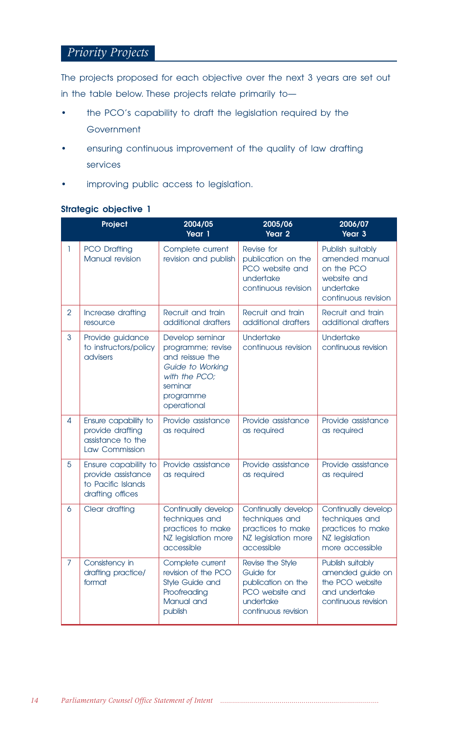## *Priority Projects*

The projects proposed for each objective over the next 3 years are set out in the table below. These projects relate primarily to—

- the PCO's capability to draft the legislation required by the Government
- ensuring continuous improvement of the quality of law drafting services
- improving public access to legislation.

## **Strategic objective 1**

|                | Project                                                                                                                                               | 2004/05<br>Year 1                                                                                                                                                              | 2005/06<br>Year <sub>2</sub>                                                                               | 2006/07<br>Year 3                                                                                   |
|----------------|-------------------------------------------------------------------------------------------------------------------------------------------------------|--------------------------------------------------------------------------------------------------------------------------------------------------------------------------------|------------------------------------------------------------------------------------------------------------|-----------------------------------------------------------------------------------------------------|
| T              | <b>PCO Drafting</b><br>Manual revision                                                                                                                | Complete current<br>revision and publish                                                                                                                                       | Revise for<br>publication on the<br>PCO website and<br>undertake<br>continuous revision                    | Publish suitably<br>amended manual<br>on the PCO<br>website and<br>undertake<br>continuous revision |
| $\overline{2}$ | Increase drafting<br>resource                                                                                                                         | Recruit and train<br>additional drafters                                                                                                                                       | Recruit and train<br>additional drafters                                                                   | Recruit and train<br>additional drafters                                                            |
| 3              | Provide guidance<br>to instructors/policy<br>advisers                                                                                                 | Develop seminar<br><b>Undertake</b><br>programme; revise<br>continuous revision<br>and reissue the<br>Guide to Working<br>with the PCO:<br>seminar<br>programme<br>operational |                                                                                                            | <b>Undertake</b><br>continuous revision                                                             |
| 4              | Ensure capability to<br>provide drafting<br>assistance to the<br>Law Commission                                                                       | Provide assistance<br>as required                                                                                                                                              | Provide assistance<br>as required                                                                          | Provide assistance<br>as required                                                                   |
| 5              | Ensure capability to<br>provide assistance<br>to Pacific Islands<br>drafting offices                                                                  | Provide assistance<br>as required                                                                                                                                              | Provide assistance<br>as required                                                                          | Provide assistance<br>as required                                                                   |
| 6              | Clear drafting                                                                                                                                        | Continually develop<br>techniques and<br>practices to make<br>NZ legislation more<br>accessible                                                                                | Continually develop<br>techniques and<br>practices to make<br>NZ legislation more<br>accessible            | Continually develop<br>techniques and<br>practices to make<br>NZ legislation<br>more accessible     |
| 7              | Consistency in<br>Complete current<br>revision of the PCO<br>drafting practice/<br>format<br>Style Guide and<br>Proofreading<br>Manual and<br>publish |                                                                                                                                                                                | Revise the Style<br>Guide for<br>publication on the<br>PCO website and<br>undertake<br>continuous revision | Publish suitably<br>amended guide on<br>the PCO website<br>and undertake<br>continuous revision     |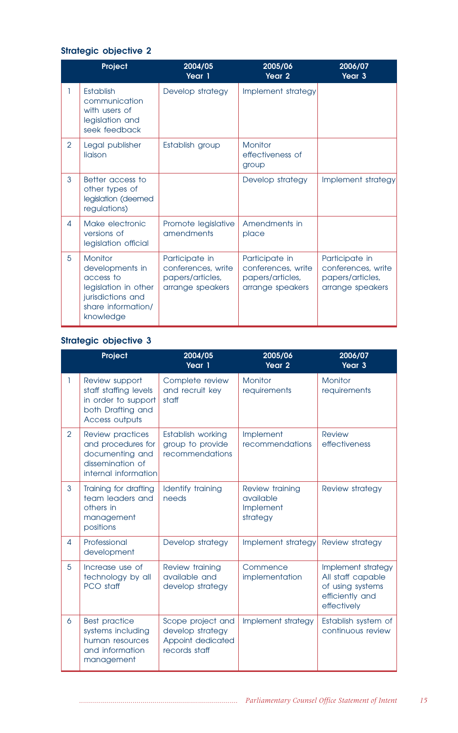## **Strategic objective 2**

|                | Project                                                                                                                                                                                                 | 2004/05<br>Year 1                 | 2005/06<br>Year 2                                                            | 2006/07<br>Year <sub>3</sub>                                                 |
|----------------|---------------------------------------------------------------------------------------------------------------------------------------------------------------------------------------------------------|-----------------------------------|------------------------------------------------------------------------------|------------------------------------------------------------------------------|
|                | <b>Establish</b><br>communication<br>with users of<br>legislation and<br>seek feedback                                                                                                                  | Develop strategy                  | Implement strategy                                                           |                                                                              |
| $\overline{2}$ | Legal publisher<br>liaison                                                                                                                                                                              | Establish group                   | Monitor<br>effectiveness of<br>group                                         |                                                                              |
| 3              | Better access to<br>other types of<br>legislation (deemed<br>regulations)                                                                                                                               |                                   | Develop strategy                                                             | Implement strategy                                                           |
| 4              | Make electronic<br>versions of<br>legislation official                                                                                                                                                  | Promote legislative<br>amendments | Amendments in<br>place                                                       |                                                                              |
| 5              | Monitor<br>Participate in<br>conferences, write<br>developments in<br>access to<br>papers/articles,<br>legislation in other<br>arrange speakers<br>jurisdictions and<br>share information/<br>knowledge |                                   | Participate in<br>conferences, write<br>papers/articles,<br>arrange speakers | Participate in<br>conferences, write<br>papers/articles,<br>arrange speakers |

# **Strategic objective 3**

|                | Project                                                                                                                                                           | 2004/05<br>Year 1                                                                   | 2005/06<br>Year <sub>2</sub> | 2006/07<br>Year 3                                                                             |  |
|----------------|-------------------------------------------------------------------------------------------------------------------------------------------------------------------|-------------------------------------------------------------------------------------|------------------------------|-----------------------------------------------------------------------------------------------|--|
| ı              | Review support<br>staff staffing levels<br>in order to support<br>both Drafting and<br>Access outputs                                                             | Complete review<br>and recruit key<br>staff                                         | Monitor<br>requirements      | Monitor<br>requirements                                                                       |  |
| $\overline{2}$ | Review practices<br>Establish working<br>and procedures for<br>group to provide<br>documenting and<br>recommendations<br>dissemination of<br>internal information |                                                                                     | Implement<br>recommendations | <b>Review</b><br>effectiveness                                                                |  |
| 3              | Training for drafting<br>team leaders and<br>others in<br>management<br>positions                                                                                 | Identify training<br>Review training<br>needs<br>available<br>Implement<br>strategy |                              | Review strategy                                                                               |  |
| 4              | Professional<br>development                                                                                                                                       | Develop strategy                                                                    | Implement strategy           | Review strategy                                                                               |  |
| 5              | Increase use of<br>Review training<br>available and<br>technology by all<br>PCO staff<br>develop strategy                                                         |                                                                                     | Commence<br>implementation   | Implement strategy<br>All staff capable<br>of using systems<br>efficiently and<br>effectively |  |
| 6              | <b>Best practice</b><br>systems including<br>human resources<br>and information<br>management                                                                     | Scope project and<br>develop strategy<br>Appoint dedicated<br>records staff         | Implement strategy           | Establish system of<br>continuous review                                                      |  |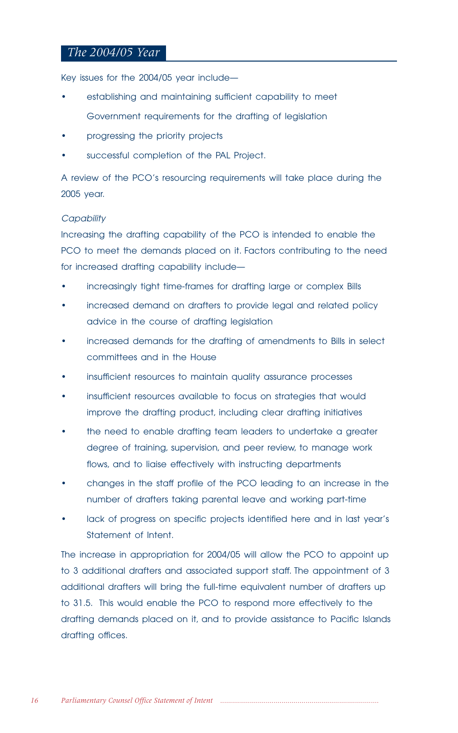## *The 2004/05 Year*

Key issues for the 2004/05 year include—

- establishing and maintaining sufficient capability to meet Government requirements for the drafting of legislation
- progressing the priority projects
- successful completion of the PAL Project.

A review of the PCO's resourcing requirements will take place during the 2005 year.

## **Capability**

Increasing the drafting capability of the PCO is intended to enable the PCO to meet the demands placed on it. Factors contributing to the need for increased drafting capability include—

- increasingly tight time-frames for drafting large or complex Bills
- increased demand on drafters to provide legal and related policy advice in the course of drafting legislation
- increased demands for the drafting of amendments to Bills in select committees and in the House
- insufficient resources to maintain quality assurance processes
- insufficient resources available to focus on strategies that would improve the drafting product, including clear drafting initiatives
- the need to enable drafting team leaders to undertake a greater degree of training, supervision, and peer review, to manage work flows, and to liaise effectively with instructing departments
- changes in the staff profile of the PCO leading to an increase in the number of drafters taking parental leave and working part-time
- lack of progress on specific projects identified here and in last year's Statement of Intent.

The increase in appropriation for 2004/05 will allow the PCO to appoint up to 3 additional drafters and associated support staff. The appointment of 3 additional drafters will bring the full-time equivalent number of drafters up to 31.5. This would enable the PCO to respond more effectively to the drafting demands placed on it, and to provide assistance to Pacific Islands drafting offices.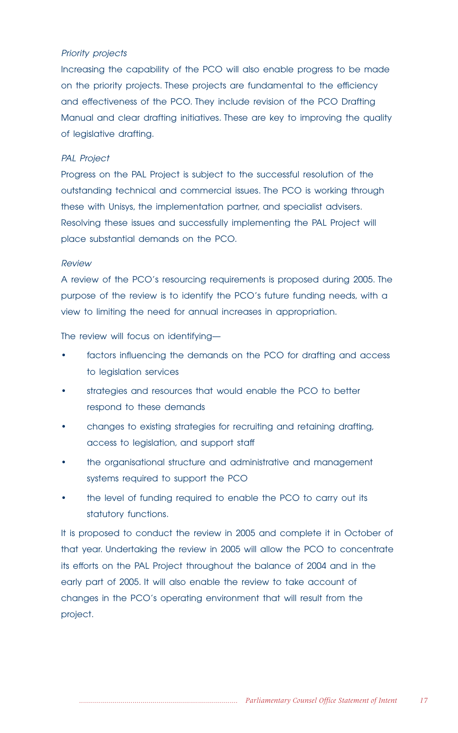## Priority projects

Increasing the capability of the PCO will also enable progress to be made on the priority projects. These projects are fundamental to the efficiency and effectiveness of the PCO. They include revision of the PCO Drafting Manual and clear drafting initiatives. These are key to improving the quality of legislative drafting.

## PAL Project

Progress on the PAL Project is subject to the successful resolution of the outstanding technical and commercial issues. The PCO is working through these with Unisys, the implementation partner, and specialist advisers. Resolving these issues and successfully implementing the PAL Project will place substantial demands on the PCO.

### Review

A review of the PCO's resourcing requirements is proposed during 2005. The purpose of the review is to identify the PCO's future funding needs, with a view to limiting the need for annual increases in appropriation.

The review will focus on identifying—

- factors influencing the demands on the PCO for drafting and access to legislation services
- strategies and resources that would enable the PCO to better respond to these demands
- changes to existing strategies for recruiting and retaining drafting, access to legislation, and support staff
- the organisational structure and administrative and management systems required to support the PCO
- the level of funding required to enable the PCO to carry out its statutory functions.

It is proposed to conduct the review in 2005 and complete it in October of that year. Undertaking the review in 2005 will allow the PCO to concentrate its efforts on the PAL Project throughout the balance of 2004 and in the early part of 2005. It will also enable the review to take account of changes in the PCO's operating environment that will result from the project.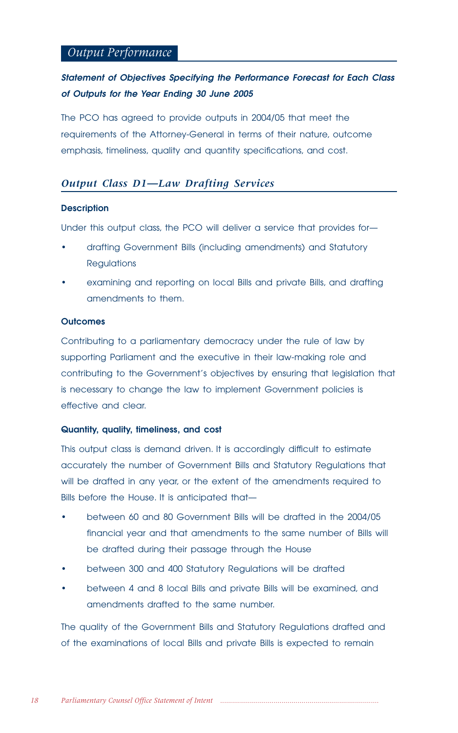## *Output Performance*

## **Statement of Objectives Specifying the Performance Forecast for Each Class of Outputs for the Year Ending 30 June 2005**

The PCO has agreed to provide outputs in 2004/05 that meet the requirements of the Attorney-General in terms of their nature, outcome emphasis, timeliness, quality and quantity specifications, and cost.

## *Output Class D1—Law Drafting Services*

### **Description**

Under this output class, the PCO will deliver a service that provides for—

- drafting Government Bills (including amendments) and Statutory **Regulations**
- examining and reporting on local Bills and private Bills, and drafting amendments to them.

## **Outcomes**

Contributing to a parliamentary democracy under the rule of law by supporting Parliament and the executive in their law-making role and contributing to the Government's objectives by ensuring that legislation that is necessary to change the law to implement Government policies is effective and clear.

#### **Quantity, quality, timeliness, and cost**

This output class is demand driven. It is accordingly difficult to estimate accurately the number of Government Bills and Statutory Regulations that will be drafted in any year, or the extent of the amendments required to Bills before the House. It is anticipated that—

- between 60 and 80 Government Bills will be drafted in the 2004/05 financial year and that amendments to the same number of Bills will be drafted during their passage through the House
- between 300 and 400 Statutory Regulations will be drafted
- between 4 and 8 local Bills and private Bills will be examined, and amendments drafted to the same number.

The quality of the Government Bills and Statutory Regulations drafted and of the examinations of local Bills and private Bills is expected to remain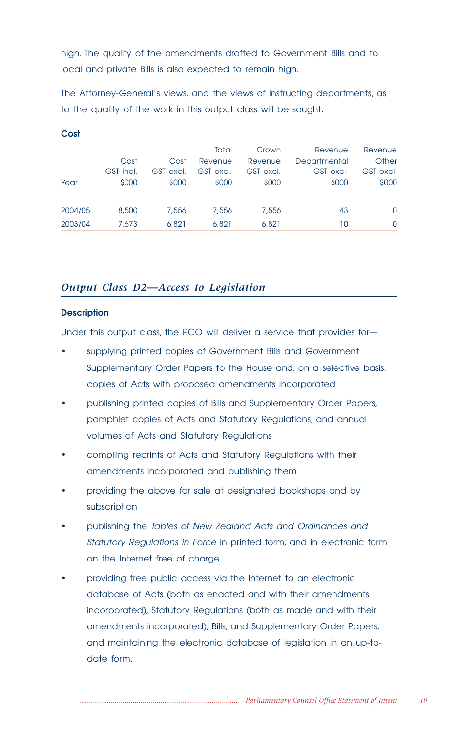high. The quality of the amendments drafted to Government Bills and to local and private Bills is also expected to remain high.

The Attorney-General's views, and the views of instructing departments, as to the quality of the work in this output class will be sought.

| Year    | Cost<br>GST incl.<br>\$000 | Cost<br>GST excl.<br>\$000 | Total<br>Revenue<br>GST excl.<br>\$000 | Crown<br>Revenue<br>GST excl.<br>\$000 | Revenue<br>Departmental<br>GST excl.<br>\$000 | Revenue<br>Other<br>GST excl.<br>\$000 |
|---------|----------------------------|----------------------------|----------------------------------------|----------------------------------------|-----------------------------------------------|----------------------------------------|
| 2004/05 | 8,500                      | 7,556                      | 7,556                                  | 7.556                                  | 43                                            | $\Omega$                               |
| 2003/04 | 7.673                      | 6.821                      | 6.821                                  | 6.821                                  | 10                                            | $\Omega$                               |

## *Output Class D2—Access to Legislation*

## **Description**

**Cost**

Under this output class, the PCO will deliver a service that provides for—

- supplying printed copies of Government Bills and Government Supplementary Order Papers to the House and, on a selective basis, copies of Acts with proposed amendments incorporated
- publishing printed copies of Bills and Supplementary Order Papers, pamphlet copies of Acts and Statutory Regulations, and annual volumes of Acts and Statutory Regulations
- compiling reprints of Acts and Statutory Regulations with their amendments incorporated and publishing them
- providing the above for sale at designated bookshops and by subscription
- publishing the Tables of New Zealand Acts and Ordinances and Statutory Regulations in Force in printed form, and in electronic form on the Internet free of charge
- providing free public access via the Internet to an electronic database of Acts (both as enacted and with their amendments incorporated), Statutory Regulations (both as made and with their amendments incorporated), Bills, and Supplementary Order Papers, and maintaining the electronic database of legislation in an up-todate form.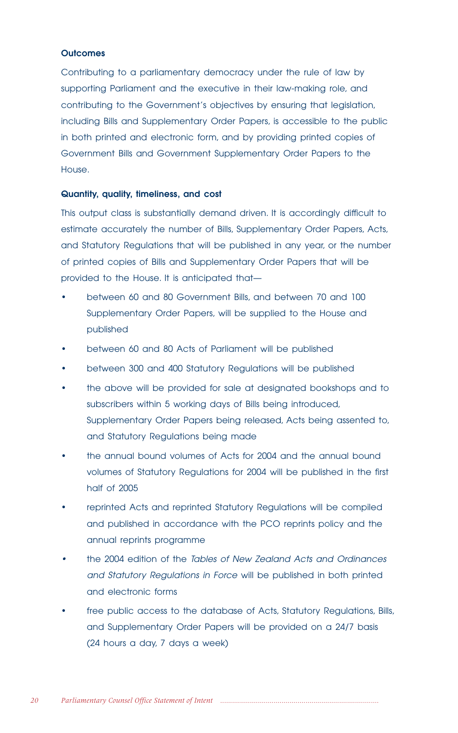## **Outcomes**

Contributing to a parliamentary democracy under the rule of law by supporting Parliament and the executive in their law-making role, and contributing to the Government's objectives by ensuring that legislation, including Bills and Supplementary Order Papers, is accessible to the public in both printed and electronic form, and by providing printed copies of Government Bills and Government Supplementary Order Papers to the House.

#### **Quantity, quality, timeliness, and cost**

This output class is substantially demand driven. It is accordingly difficult to estimate accurately the number of Bills, Supplementary Order Papers, Acts, and Statutory Regulations that will be published in any year, or the number of printed copies of Bills and Supplementary Order Papers that will be provided to the House. It is anticipated that—

- between 60 and 80 Government Bills, and between 70 and 100 Supplementary Order Papers, will be supplied to the House and published
- between 60 and 80 Acts of Parliament will be published
- between 300 and 400 Statutory Regulations will be published
- the above will be provided for sale at designated bookshops and to subscribers within 5 working days of Bills being introduced, Supplementary Order Papers being released, Acts being assented to, and Statutory Regulations being made
- the annual bound volumes of Acts for 2004 and the annual bound volumes of Statutory Regulations for 2004 will be published in the first half of 2005
- reprinted Acts and reprinted Statutory Regulations will be compiled and published in accordance with the PCO reprints policy and the annual reprints programme
- • the 2004 edition of the Tables of New Zealand Acts and Ordinances and Statutory Regulations in Force will be published in both printed and electronic forms
- free public access to the database of Acts, Statutory Regulations, Bills, and Supplementary Order Papers will be provided on a 24/7 basis (24 hours a day, 7 days a week)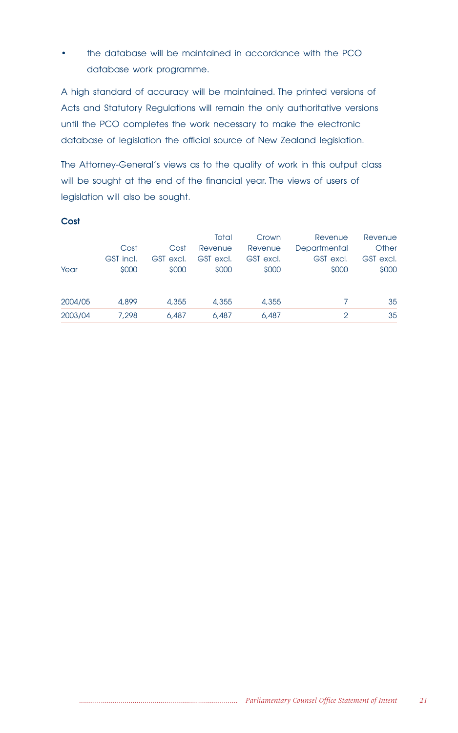• the database will be maintained in accordance with the PCO database work programme.

A high standard of accuracy will be maintained. The printed versions of Acts and Statutory Regulations will remain the only authoritative versions until the PCO completes the work necessary to make the electronic database of legislation the official source of New Zealand legislation.

The Attorney-General's views as to the quality of work in this output class will be sought at the end of the financial year. The views of users of legislation will also be sought.

|         |           |           | Total     | Crown     | Revenue       | Revenue   |
|---------|-----------|-----------|-----------|-----------|---------------|-----------|
|         | Cost      | Cost      | Revenue   | Revenue   | Departmental  | Other     |
|         | GST incl. | GST excl. | GST excl. | GST excl. | GST excl.     | GST excl. |
| Year    | \$000     | \$000     | \$000     | \$000     | \$000         | \$000     |
|         |           |           |           |           |               |           |
|         |           |           |           |           |               |           |
| 2004/05 | 4,899     | 4,355     | 4,355     | 4,355     |               | 35        |
| 2003/04 | 7.298     | 6,487     | 6,487     | 6,487     | $\mathcal{D}$ | 35        |
|         |           |           |           |           |               |           |

## **Cost**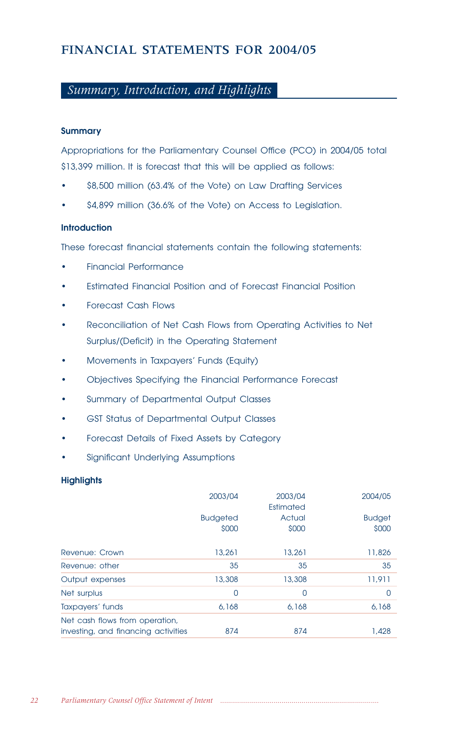# FINANCIAL STATEMENTS FOR 2004/05

# *Summary, Introduction, and Highlights*

## **Summary**

Appropriations for the Parliamentary Counsel Office (PCO) in 2004/05 total \$13,399 million. It is forecast that this will be applied as follows:

- \$8,500 million (63.4% of the Vote) on Law Drafting Services
- \$4,899 million (36.6% of the Vote) on Access to Legislation.

## **Introduction**

These forecast financial statements contain the following statements:

- Financial Performance
- Estimated Financial Position and of Forecast Financial Position
- Forecast Cash Flows
- Reconciliation of Net Cash Flows from Operating Activities to Net Surplus/(Deficit) in the Operating Statement
- Movements in Taxpayers' Funds (Equity)
- Objectives Specifying the Financial Performance Forecast
- Summary of Departmental Output Classes
- GST Status of Departmental Output Classes
- Forecast Details of Fixed Assets by Category
- Significant Underlying Assumptions

## **Highlights**

|                                                                       | 2003/04                  | 2003/04<br>Estimated | 2004/05                |
|-----------------------------------------------------------------------|--------------------------|----------------------|------------------------|
|                                                                       | <b>Budgeted</b><br>\$000 | Actual<br>\$000      | <b>Budget</b><br>\$000 |
| Revenue: Crown                                                        | 13,261                   | 13,261               | 11,826                 |
| Revenue: other                                                        | 35                       | 35                   | 35                     |
| Output expenses                                                       | 13,308                   | 13,308               | 11,911                 |
| Net surplus                                                           | 0                        | 0                    | 0                      |
| Taxpayers' funds                                                      | 6.168                    | 6.168                | 6,168                  |
| Net cash flows from operation,<br>investing, and financing activities | 874                      | 874                  | 1,428                  |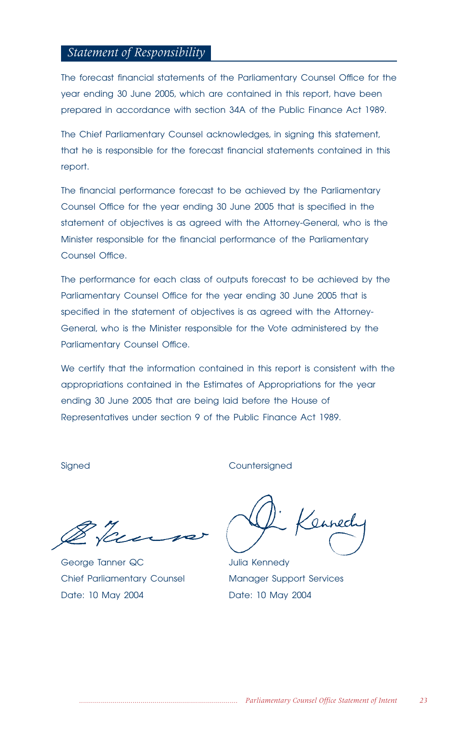## *Statement of Responsibility*

The forecast financial statements of the Parliamentary Counsel Office for the year ending 30 June 2005, which are contained in this report, have been prepared in accordance with section 34A of the Public Finance Act 1989.

The Chief Parliamentary Counsel acknowledges, in signing this statement, that he is responsible for the forecast financial statements contained in this report.

The financial performance forecast to be achieved by the Parliamentary Counsel Office for the year ending 30 June 2005 that is specified in the statement of objectives is as agreed with the Attorney-General, who is the Minister responsible for the financial performance of the Parliamentary Counsel Office.

The performance for each class of outputs forecast to be achieved by the Parliamentary Counsel Office for the year ending 30 June 2005 that is specified in the statement of objectives is as agreed with the Attorney-General, who is the Minister responsible for the Vote administered by the Parliamentary Counsel Office.

We certify that the information contained in this report is consistent with the appropriations contained in the Estimates of Appropriations for the year ending 30 June 2005 that are being laid before the House of Representatives under section 9 of the Public Finance Act 1989.

George Tanner QC and Julia Kennedy Chief Parliamentary Counsel Manager Support Services Date: 10 May 2004 Date: 10 May 2004

Signed Countersigned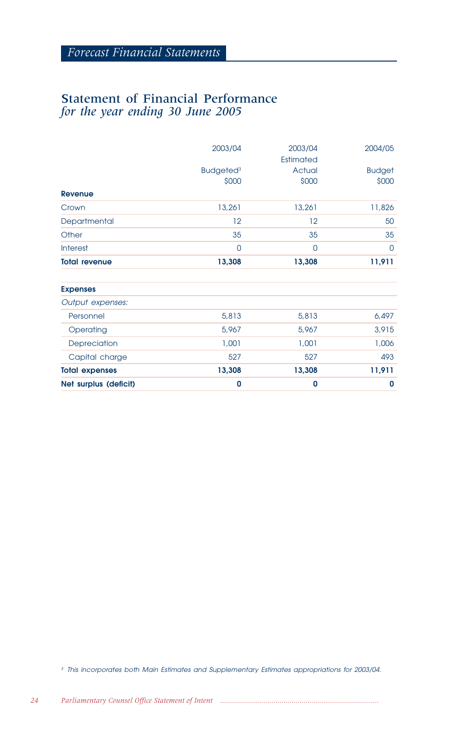# Statement of Financial Performance *for the year ending 30 June 2005*

|                       | 2003/04<br>Budgeted <sup>3</sup><br>\$000 | 2003/04<br>Estimated<br>Actual<br>\$000 | 2004/05<br><b>Budget</b><br>\$000 |
|-----------------------|-------------------------------------------|-----------------------------------------|-----------------------------------|
| Revenue               |                                           |                                         |                                   |
| Crown                 | 13,261                                    | 13,261                                  | 11,826                            |
| Departmental          | $12 \overline{ }$                         | 12                                      | 50                                |
| Other                 | 35                                        | 35                                      | 35                                |
| <b>Interest</b>       | 0                                         | $\overline{0}$                          | 0                                 |
| <b>Total revenue</b>  | 13,308                                    | 13,308                                  | 11,911                            |
| <b>Expenses</b>       |                                           |                                         |                                   |
| Output expenses:      |                                           |                                         |                                   |
| Personnel             | 5,813                                     | 5,813                                   | 6,497                             |
| Operating             | 5,967                                     | 5,967                                   | 3,915                             |
| Depreciation          | 1,001                                     | 1,001                                   | 1,006                             |
| Capital charge        | 527                                       | 527                                     | 493                               |
| <b>Total expenses</b> | 13,308                                    | 13,308                                  | 11,911                            |
| Net surplus (deficit) | 0                                         | 0                                       | 0                                 |

<sup>3</sup> This incorporates both Main Estimates and Supplementary Estimates appropriations for 2003/04.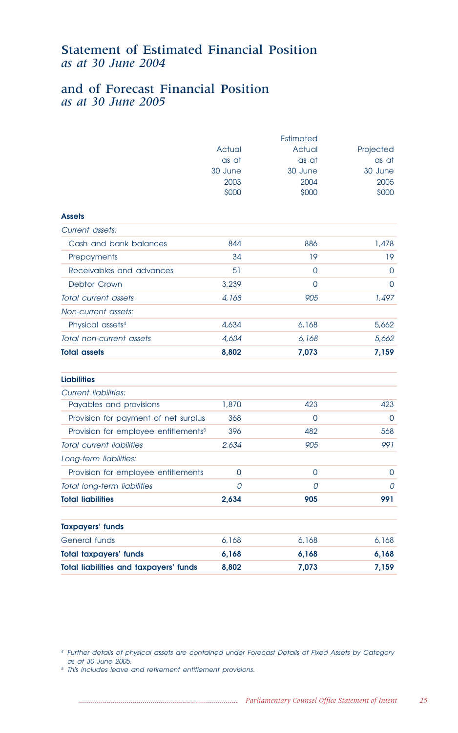# Statement of Estimated Financial Position *as at 30 June 2004*

# and of Forecast Financial Position *as at 30 June 2005*

|                                                  |          | Estimated |           |
|--------------------------------------------------|----------|-----------|-----------|
|                                                  | Actual   | Actual    | Projected |
|                                                  | as at    | as at     | as at     |
|                                                  | 30 June  | 30 June   | 30 June   |
|                                                  | 2003     | 2004      | 2005      |
|                                                  | \$000    | \$000     | \$000     |
| <b>Assets</b>                                    |          |           |           |
| Current assets:                                  |          |           |           |
| Cash and bank balances                           | 844      | 886       | 1,478     |
| Prepayments                                      | 34       | 19        | 19        |
| Receivables and advances                         | 51       | $\Omega$  | 0         |
| <b>Debtor Crown</b>                              | 3,239    | 0         | 0         |
| Total current assets                             | 4,168    | 905       | 1,497     |
| Non-current assets:                              |          |           |           |
| Physical assets <sup>4</sup>                     | 4,634    | 6.168     | 5,662     |
| Total non-current assets                         | 4,634    | 6,168     | 5,662     |
| <b>Total assets</b>                              | 8,802    | 7,073     | 7,159     |
| <b>Liabilities</b>                               |          |           |           |
| <b>Current liabilities:</b>                      |          |           |           |
| Payables and provisions                          | 1,870    | 423       | 423       |
| Provision for payment of net surplus             | 368      | $\Omega$  | 0         |
| Provision for employee entitlements <sup>5</sup> | 396      | 482       | 568       |
| <b>Total current liabilities</b>                 | 2,634    | 905       | 991       |
| Long-term liabilities:                           |          |           |           |
| Provision for employee entitlements              | $\Omega$ | $\Omega$  | 0         |
| Total long-term liabilities                      | 0        | 0         | 0         |
| <b>Total liabilities</b>                         | 2,634    | 905       | 991       |
|                                                  |          |           |           |
| <b>Taxpayers' funds</b>                          |          |           |           |
| General funds                                    | 6,168    | 6.168     | 6.168     |
| <b>Total taxpayers' funds</b>                    | 6,168    | 6,168     | 6,168     |
| <b>Total liabilities and taxpayers' funds</b>    | 8,802    | 7,073     | 7,159     |

<sup>4</sup> Further details of physical assets are contained under Forecast Details of Fixed Assets by Category as at 30 June 2005.

<sup>5</sup> This includes leave and retirement entitlement provisions.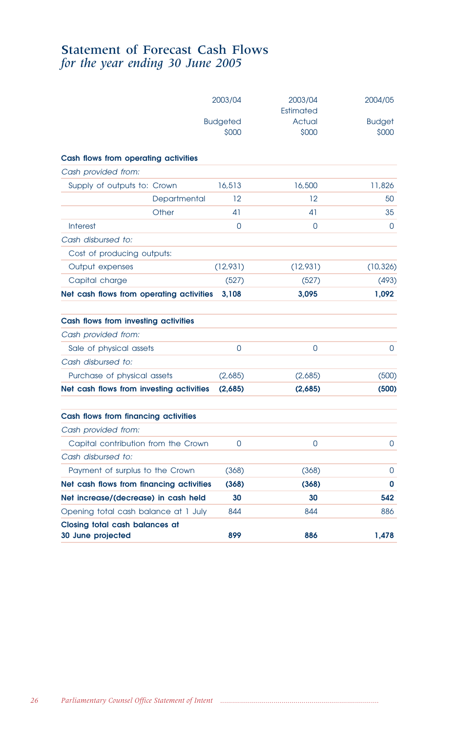## Statement of Forecast Cash Flows *for the year ending 30 June 2005*

|                                                     | 2003/04                  | 2003/04<br>Estimated | 2004/05                |
|-----------------------------------------------------|--------------------------|----------------------|------------------------|
|                                                     | <b>Budgeted</b><br>\$000 | Actual<br>\$000      | <b>Budget</b><br>\$000 |
| Cash flows from operating activities                |                          |                      |                        |
| Cash provided from:                                 |                          |                      |                        |
| Supply of outputs to: Crown                         | 16,513                   | 16,500               | 11,826                 |
| Departmental                                        | 12                       | 12                   | 50                     |
| Other                                               | 41                       | 41                   | 35                     |
| <b>Interest</b>                                     | 0                        | 0                    | 0                      |
| Cash disbursed to:                                  |                          |                      |                        |
| Cost of producing outputs:                          |                          |                      |                        |
| Output expenses                                     | (12,931)                 | (12,931)             | (10, 326)              |
| Capital charge                                      | (527)                    | (527)                | (493)                  |
| Net cash flows from operating activities            | 3,108                    | 3,095                | 1,092                  |
| Cash flows from investing activities                |                          |                      |                        |
| Cash provided from:                                 |                          |                      |                        |
| Sale of physical assets                             | $\Omega$                 | 0                    | 0                      |
| Cash disbursed to:                                  |                          |                      |                        |
| Purchase of physical assets                         | (2,685)                  | (2,685)              | (500)                  |
| Net cash flows from investing activities            | (2,685)                  | (2,685)              | (500)                  |
| Cash flows from financing activities                |                          |                      |                        |
| Cash provided from:                                 |                          |                      |                        |
| Capital contribution from the Crown                 | 0                        | 0                    | 0                      |
| Cash disbursed to:                                  |                          |                      |                        |
| Payment of surplus to the Crown                     | (368)                    | (368)                | $\Omega$               |
| Net cash flows from financing activities            | (368)                    | (368)                | 0                      |
| Net increase/(decrease) in cash held                | 30                       | 30                   | 542                    |
| Opening total cash balance at 1 July                | 844                      | 844                  | 886                    |
| Closing total cash balances at<br>30 June projected | 899                      | 886                  | 1,478                  |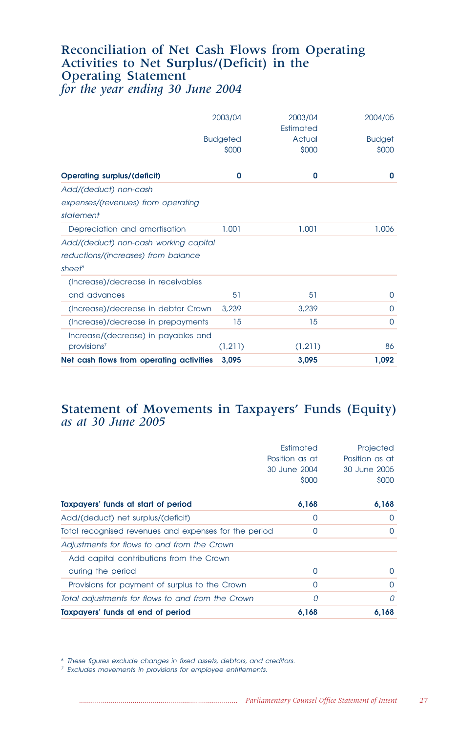## Reconciliation of Net Cash Flows from Operating Activities to Net Surplus/(Deficit) in the Operating Statement *for the year ending 30 June 2004*

|                                                                                                    | 2003/04                  | 2003/04<br>Estimated | 2004/05                |
|----------------------------------------------------------------------------------------------------|--------------------------|----------------------|------------------------|
|                                                                                                    | <b>Budgeted</b><br>\$000 | Actual<br>\$000      | <b>Budget</b><br>\$000 |
| <b>Operating surplus/(deficit)</b>                                                                 | 0                        | 0                    | 0                      |
| Add/(deduct) non-cash                                                                              |                          |                      |                        |
| expenses/(revenues) from operating<br>statement                                                    |                          |                      |                        |
| Depreciation and amortisation                                                                      | 1,001                    | 1,001                | 1,006                  |
| Add/(deduct) non-cash working capital<br>reductions/(increases) from balance<br>sheet <sup>6</sup> |                          |                      |                        |
| (Increase)/decrease in receivables                                                                 |                          |                      |                        |
| and advances                                                                                       | 51                       | 51                   | 0                      |
| (Increase)/decrease in debtor Crown                                                                | 3,239                    | 3,239                | $\Omega$               |
| (Increase)/decrease in prepayments                                                                 | 15                       | 15                   | $\Omega$               |
| Increase/(decrease) in payables and<br>provisions <sup>7</sup>                                     | (1, 211)                 | (1,211)              | 86                     |
| Net cash flows from operating activities                                                           | 3.095                    | 3,095                | 1,092                  |

## Statement of Movements in Taxpayers' Funds (Equity) *as at 30 June 2005*

|                                                       | Estimated<br>Position as at<br>30 June 2004<br>\$000 | Projected<br>Position as at<br>30 June 2005<br>\$000 |
|-------------------------------------------------------|------------------------------------------------------|------------------------------------------------------|
| Taxpayers' funds at start of period                   | 6,168                                                | 6,168                                                |
| Add/(deduct) net surplus/(deficit)                    | $\Omega$                                             | 0                                                    |
| Total recognised revenues and expenses for the period | 0                                                    | 0                                                    |
| Adjustments for flows to and from the Crown           |                                                      |                                                      |
| Add capital contributions from the Crown              |                                                      |                                                      |
| during the period                                     | 0                                                    | 0                                                    |
| Provisions for payment of surplus to the Crown        | 0                                                    | 0                                                    |
| Total adjustments for flows to and from the Crown     | 0                                                    | 0                                                    |
| Taxpayers' funds at end of period                     | 6,168                                                | 6,168                                                |

<sup>6</sup> These figures exclude changes in fixed assets, debtors, and creditors.

<sup>7</sup> Excludes movements in provisions for employee entitlements.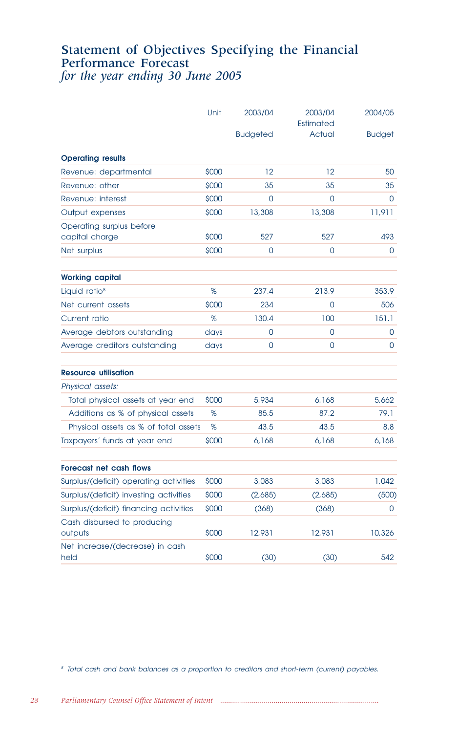## Statement of Objectives Specifying the Financial Performance Forecast *for the year ending 30 June 2005*

|                                            | Unit  | 2003/04         | 2003/04<br>Estimated | 2004/05       |
|--------------------------------------------|-------|-----------------|----------------------|---------------|
|                                            |       | <b>Budgeted</b> | Actual               | <b>Budget</b> |
| <b>Operating results</b>                   |       |                 |                      |               |
| Revenue: departmental                      | \$000 | 12              | 12                   | 50            |
| Revenue: other                             | \$000 | 35              | 35                   | 35            |
| Revenue: interest                          | \$000 | $\Omega$        | 0                    | 0             |
| Output expenses                            | \$000 | 13,308          | 13,308               | 11,911        |
| Operating surplus before<br>capital charge | \$000 | 527             | 527                  | 493           |
| Net surplus                                | \$000 | 0               | 0                    | 0             |
| <b>Working capital</b>                     |       |                 |                      |               |
| Liquid ratio <sup>8</sup>                  | %     | 237.4           | 213.9                | 353.9         |
| Net current assets                         | \$000 | 234             | 0                    | 506           |
| Current ratio                              | %     | 130.4           | 100                  | 151.1         |
| Average debtors outstanding                | days  | $\Omega$        | 0                    | 0             |
| Average creditors outstanding              | days  | $\Omega$        | 0                    | 0             |
| <b>Resource utilisation</b>                |       |                 |                      |               |
| Physical assets:                           |       |                 |                      |               |
| Total physical assets at year end          | \$000 | 5,934           | 6,168                | 5,662         |
| Additions as % of physical assets          | %     | 85.5            | 87.2                 | 79.1          |
| Physical assets as % of total assets       | %     | 43.5            | 43.5                 | 8.8           |
| Taxpayers' funds at year end               | \$000 | 6,168           | 6,168                | 6.168         |
| Forecast net cash flows                    |       |                 |                      |               |
| Surplus/(deficit) operating activities     | \$000 | 3,083           | 3,083                | 1,042         |
| Surplus/(deficit) investing activities     | \$000 | (2,685)         | (2,685)              | (500)         |
| Surplus/(deficit) financing activities     | \$000 | (368)           | (368)                | 0             |
| Cash disbursed to producing<br>outputs     | \$000 | 12,931          | 12,931               | 10,326        |
| Net increase/(decrease) in cash<br>held    | \$000 | (30)            | (30)                 | 542           |

<sup>8</sup> Total cash and bank balances as a proportion to creditors and short-term (current) payables.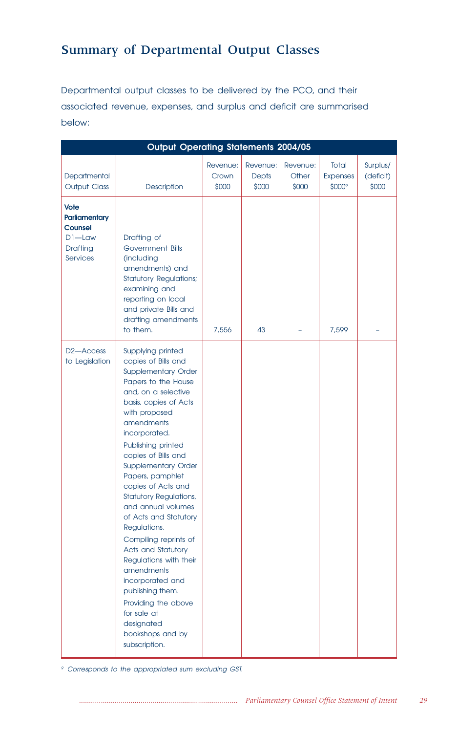# Summary of Departmental Output Classes

Departmental output classes to be delivered by the PCO, and their associated revenue, expenses, and surplus and deficit are summarised below:

|                                                                                     | <b>Output Operating Statements 2004/05</b>                                                                                                                                                                                                                                                                                                                                                                                                                                                                                                                                                                                                 |                            |                                   |                            |                                    |                                |
|-------------------------------------------------------------------------------------|--------------------------------------------------------------------------------------------------------------------------------------------------------------------------------------------------------------------------------------------------------------------------------------------------------------------------------------------------------------------------------------------------------------------------------------------------------------------------------------------------------------------------------------------------------------------------------------------------------------------------------------------|----------------------------|-----------------------------------|----------------------------|------------------------------------|--------------------------------|
| Departmental<br><b>Output Class</b>                                                 | Description                                                                                                                                                                                                                                                                                                                                                                                                                                                                                                                                                                                                                                | Revenue:<br>Crown<br>\$000 | Revenue:<br><b>Depts</b><br>\$000 | Revenue:<br>Other<br>\$000 | Total<br><b>Expenses</b><br>\$000° | Surplus/<br>(deficit)<br>\$000 |
| Vote<br><b>Parliamentary</b><br>Counsel<br>$DI$ -Law<br>Drafting<br><b>Services</b> | Drafting of<br>Government Bills<br>(including<br>amendments) and<br><b>Statutory Regulations;</b><br>examining and<br>reporting on local<br>and private Bills and<br>drafting amendments<br>to them.                                                                                                                                                                                                                                                                                                                                                                                                                                       | 7.556                      | 43                                |                            | 7,599                              |                                |
| D <sub>2</sub> -Access<br>to Legislation                                            | Supplying printed<br>copies of Bills and<br><b>Supplementary Order</b><br>Papers to the House<br>and, on a selective<br>basis, copies of Acts<br>with proposed<br>amendments<br>incorporated.<br>Publishing printed<br>copies of Bills and<br><b>Supplementary Order</b><br>Papers, pamphlet<br>copies of Acts and<br><b>Statutory Regulations,</b><br>and annual volumes<br>of Acts and Statutory<br>Regulations.<br>Compiling reprints of<br>Acts and Statutory<br>Regulations with their<br>amendments<br>incorporated and<br>publishing them.<br>Providing the above<br>for sale at<br>designated<br>bookshops and by<br>subscription. |                            |                                   |                            |                                    |                                |

<sup>9</sup> Corresponds to the appropriated sum excluding GST.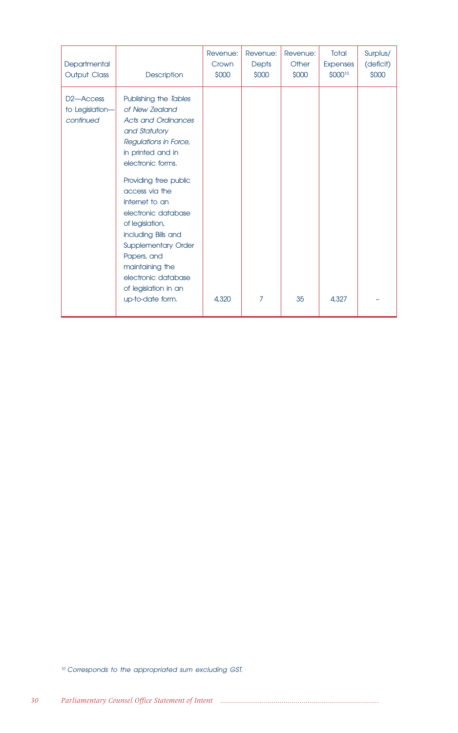| Departmental<br><b>Output Class</b>                    | Description                                                                                                                                                                                                                                                                                                                                                                                                                | Revenue:<br>Crown<br>\$000 | Revenue:<br><b>Depts</b><br>\$000 | Revenue:<br>Other<br>\$000 | Total<br><b>Expenses</b><br>\$00010 | Surplus/<br>(deficit)<br>\$000 |
|--------------------------------------------------------|----------------------------------------------------------------------------------------------------------------------------------------------------------------------------------------------------------------------------------------------------------------------------------------------------------------------------------------------------------------------------------------------------------------------------|----------------------------|-----------------------------------|----------------------------|-------------------------------------|--------------------------------|
| D <sub>2</sub> -Access<br>to Legislation-<br>continued | Publishing the Tables<br>of New Zealand<br><b>Acts and Ordinances</b><br>and Statutory<br>Regulations in Force,<br>in printed and in<br>electronic forms.<br>Providing free public<br>access via the<br>Internet to an<br>electronic database<br>of legislation,<br>including Bills and<br><b>Supplementary Order</b><br>Papers, and<br>maintaining the<br>electronic database<br>of legislation in an<br>up-to-date form. | 4,320                      | 7                                 | 35                         | 4.327                               |                                |

<sup>10</sup> Corresponds to the appropriated sum excluding GST.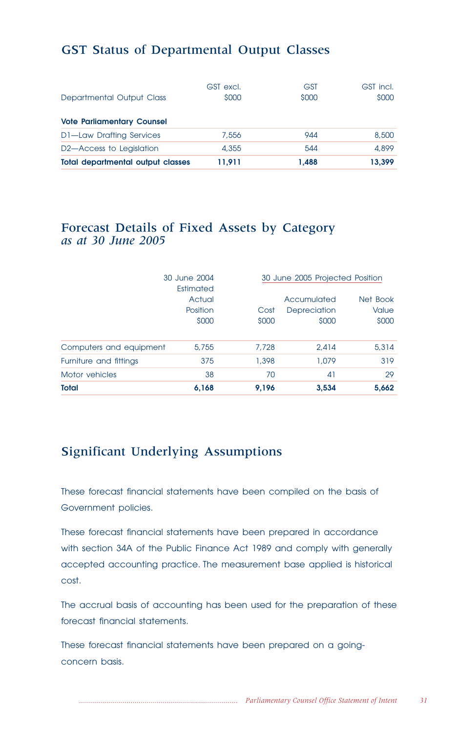# GST Status of Departmental Output Classes

|                                       | GST excl. | <b>GST</b> | GST incl. |
|---------------------------------------|-----------|------------|-----------|
| Departmental Output Class             | \$000     | \$000      | \$000     |
| <b>Vote Parliamentary Counsel</b>     |           |            |           |
| <b>D1-Law Drafting Services</b>       | 7,556     | 944        | 8,500     |
|                                       |           |            |           |
| D <sub>2</sub> —Access to Legislation | 4,355     | 544        | 4,899     |
| Total departmental output classes     | 11.911    | 1.488      | 13.399    |

# Forecast Details of Fixed Assets by Category *as at 30 June 2005*

|                         | 30 June 2004<br>Estimated   |               | 30 June 2005 Projected Position      |                                   |  |
|-------------------------|-----------------------------|---------------|--------------------------------------|-----------------------------------|--|
|                         | Actual<br>Position<br>\$000 | Cost<br>\$000 | Accumulated<br>Depreciation<br>\$000 | Net Book<br><b>Value</b><br>\$000 |  |
| Computers and equipment | 5,755                       | 7.728         | 2.414                                | 5,314                             |  |
| Furniture and fittings  | 375                         | 1,398         | 1,079                                | 319                               |  |
| Motor vehicles          | 38                          | 70            | 41                                   | 29                                |  |
| Total                   | 6,168                       | 9,196         | 3,534                                | 5,662                             |  |

# Significant Underlying Assumptions

These forecast financial statements have been compiled on the basis of Government policies.

These forecast financial statements have been prepared in accordance with section 34A of the Public Finance Act 1989 and comply with generally accepted accounting practice. The measurement base applied is historical cost.

The accrual basis of accounting has been used for the preparation of these forecast financial statements.

These forecast financial statements have been prepared on a goingconcern basis.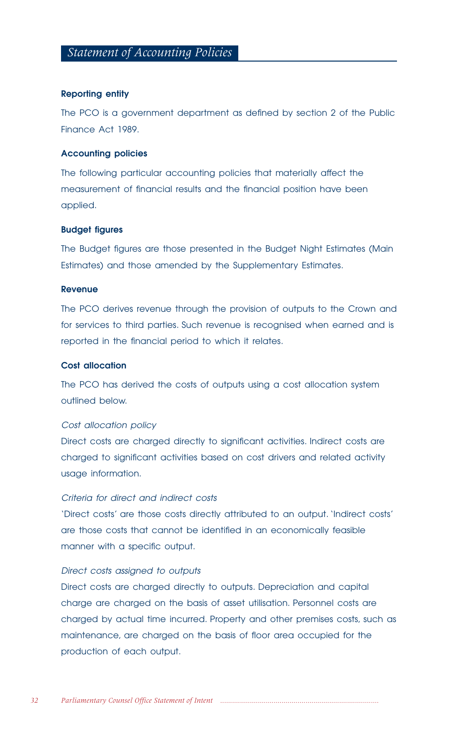### **Reporting entity**

The PCO is a government department as defined by section 2 of the Public Finance Act 1989.

## **Accounting policies**

The following particular accounting policies that materially affect the measurement of financial results and the financial position have been applied.

## **Budget figures**

The Budget figures are those presented in the Budget Night Estimates (Main Estimates) and those amended by the Supplementary Estimates.

## **Revenue**

The PCO derives revenue through the provision of outputs to the Crown and for services to third parties. Such revenue is recognised when earned and is reported in the financial period to which it relates.

## **Cost allocation**

The PCO has derived the costs of outputs using a cost allocation system outlined below.

## Cost allocation policy

Direct costs are charged directly to significant activities. Indirect costs are charged to significant activities based on cost drivers and related activity usage information.

## Criteria for direct and indirect costs

'Direct costs' are those costs directly attributed to an output. 'Indirect costs' are those costs that cannot be identified in an economically feasible manner with a specific output.

## Direct costs assigned to outputs

Direct costs are charged directly to outputs. Depreciation and capital charge are charged on the basis of asset utilisation. Personnel costs are charged by actual time incurred. Property and other premises costs, such as maintenance, are charged on the basis of floor area occupied for the production of each output.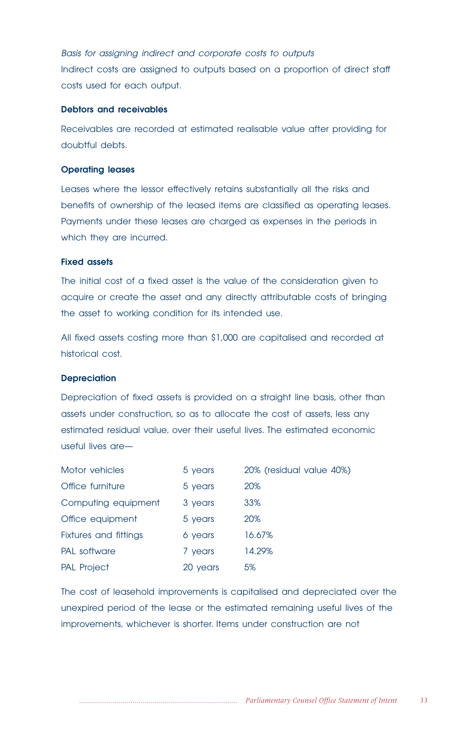Basis for assigning indirect and corporate costs to outputs Indirect costs are assigned to outputs based on a proportion of direct staff costs used for each output.

#### **Debtors and receivables**

Receivables are recorded at estimated realisable value after providing for doubtful debts.

## **Operating leases**

Leases where the lessor effectively retains substantially all the risks and benefits of ownership of the leased items are classified as operating leases. Payments under these leases are charged as expenses in the periods in which they are incurred.

## **Fixed assets**

The initial cost of a fixed asset is the value of the consideration given to acquire or create the asset and any directly attributable costs of bringing the asset to working condition for its intended use.

All fixed assets costing more than \$1,000 are capitalised and recorded at historical cost.

#### **Depreciation**

Depreciation of fixed assets is provided on a straight line basis, other than assets under construction, so as to allocate the cost of assets, less any estimated residual value, over their useful lives. The estimated economic useful lives are—

| Motor vehicles        | 5 years  | 20% (residual value 40%) |
|-----------------------|----------|--------------------------|
| Office furniture      | 5 years  | 20%                      |
| Computing equipment   | 3 years  | 33%                      |
| Office equipment      | 5 years  | 20%                      |
| Fixtures and fittings | 6 years  | 16.67%                   |
| PAL software          | 7 years  | 14.29%                   |
| <b>PAL Project</b>    | 20 years | 5%                       |

The cost of leasehold improvements is capitalised and depreciated over the unexpired period of the lease or the estimated remaining useful lives of the improvements, whichever is shorter. Items under construction are not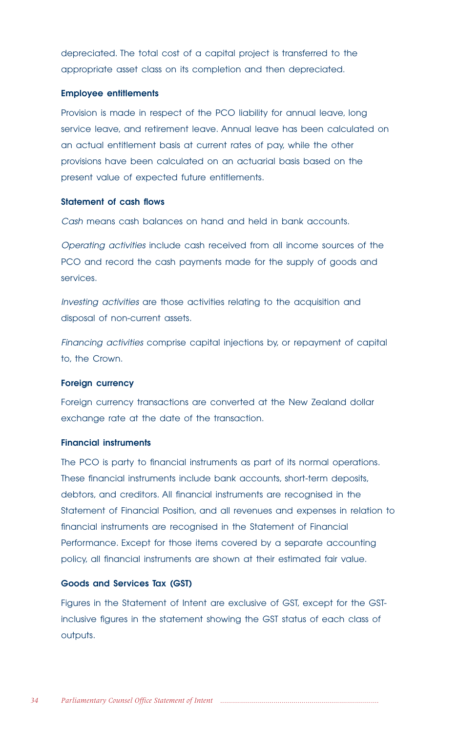depreciated. The total cost of a capital project is transferred to the appropriate asset class on its completion and then depreciated.

### **Employee entitlements**

Provision is made in respect of the PCO liability for annual leave, long service leave, and retirement leave. Annual leave has been calculated on an actual entitlement basis at current rates of pay, while the other provisions have been calculated on an actuarial basis based on the present value of expected future entitlements.

## **Statement of cash flows**

Cash means cash balances on hand and held in bank accounts.

Operating activities include cash received from all income sources of the PCO and record the cash payments made for the supply of goods and services.

Investing activities are those activities relating to the acquisition and disposal of non-current assets.

Financing activities comprise capital injections by, or repayment of capital to, the Crown.

#### **Foreign currency**

Foreign currency transactions are converted at the New Zealand dollar exchange rate at the date of the transaction.

#### **Financial instruments**

The PCO is party to financial instruments as part of its normal operations. These financial instruments include bank accounts, short-term deposits, debtors, and creditors. All financial instruments are recognised in the Statement of Financial Position, and all revenues and expenses in relation to financial instruments are recognised in the Statement of Financial Performance. Except for those items covered by a separate accounting policy, all financial instruments are shown at their estimated fair value.

## **Goods and Services Tax (GST)**

Figures in the Statement of Intent are exclusive of GST, except for the GSTinclusive figures in the statement showing the GST status of each class of outputs.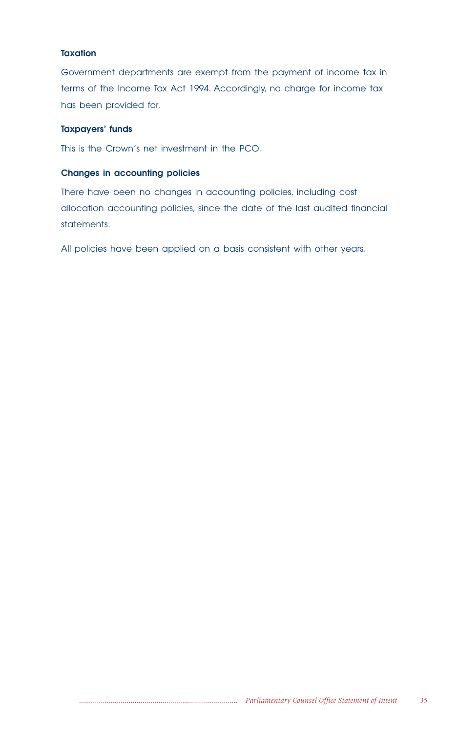## **Taxation**

Government departments are exempt from the payment of income tax in terms of the Income Tax Act 1994. Accordingly, no charge for income tax has been provided for.

## **Taxpayers' funds**

This is the Crown's net investment in the PCO.

## **Changes in accounting policies**

There have been no changes in accounting policies, including cost allocation accounting policies, since the date of the last audited financial statements.

All policies have been applied on a basis consistent with other years.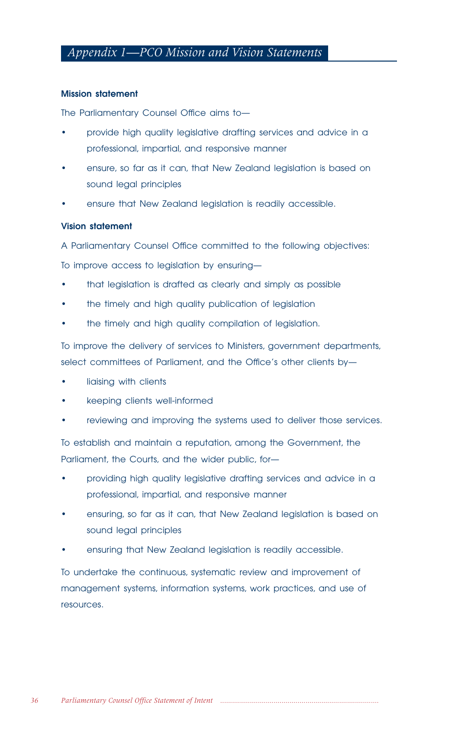# *Appendix 1—PCO Mission and Vision Statements*

## **Mission statement**

The Parliamentary Counsel Office aims to—

- provide high quality legislative drafting services and advice in a professional, impartial, and responsive manner
- ensure, so far as it can, that New Zealand legislation is based on sound legal principles
- ensure that New Zealand legislation is readily accessible.

## **Vision statement**

A Parliamentary Counsel Office committed to the following objectives:

To improve access to legislation by ensuring—

- that legislation is drafted as clearly and simply as possible
- the timely and high quality publication of legislation
- the timely and high quality compilation of legislation.

To improve the delivery of services to Ministers, government departments, select committees of Parliament, and the Office's other clients by—

- liaising with clients
- keeping clients well-informed
- reviewing and improving the systems used to deliver those services.

To establish and maintain a reputation, among the Government, the Parliament, the Courts, and the wider public, for-

- providing high quality legislative drafting services and advice in a professional, impartial, and responsive manner
- ensuring, so far as it can, that New Zealand legislation is based on sound legal principles
- ensuring that New Zealand legislation is readily accessible.

To undertake the continuous, systematic review and improvement of management systems, information systems, work practices, and use of resources.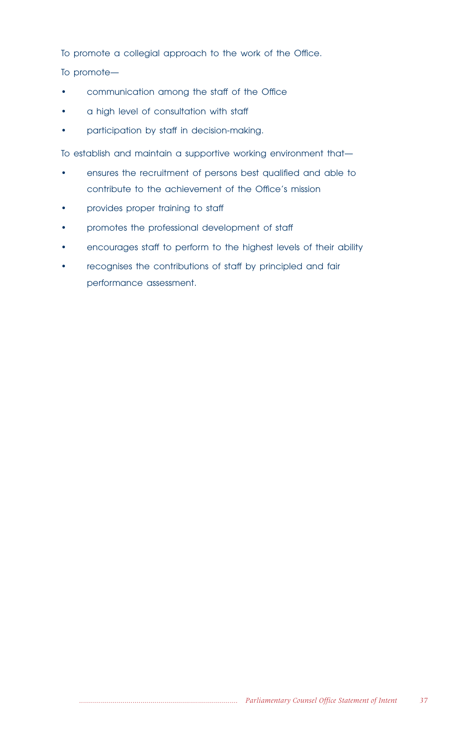To promote a collegial approach to the work of the Office.

To promote—

- communication among the staff of the Office
- a high level of consultation with staff
- participation by staff in decision-making.

To establish and maintain a supportive working environment that—

- ensures the recruitment of persons best qualified and able to contribute to the achievement of the Office's mission
- provides proper training to staff
- promotes the professional development of staff
- encourages staff to perform to the highest levels of their ability
- recognises the contributions of staff by principled and fair performance assessment.